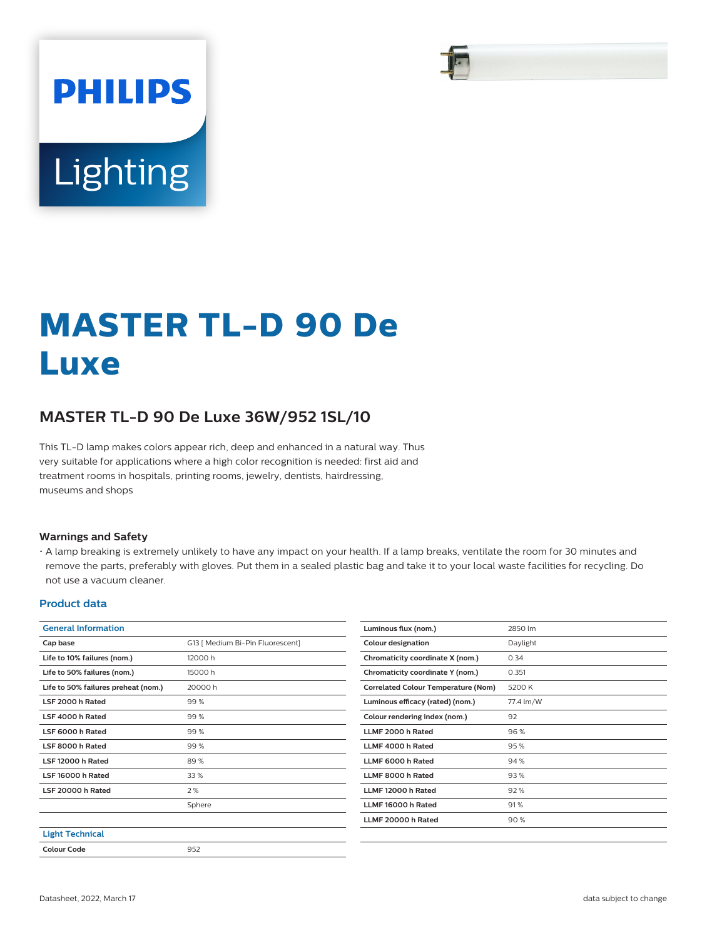# **PHILIPS** Lighting

## **MASTER TL-D 90 De Luxe**

### **MASTER TL-D 90 De Luxe 36W/952 1SL/10**

This TL-D lamp makes colors appear rich, deep and enhanced in a natural way. Thus very suitable for applications where a high color recognition is needed: first aid and treatment rooms in hospitals, printing rooms, jewelry, dentists, hairdressing, museums and shops

#### **Warnings and Safety**

• A lamp breaking is extremely unlikely to have any impact on your health. If a lamp breaks, ventilate the room for 30 minutes and remove the parts, preferably with gloves. Put them in a sealed plastic bag and take it to your local waste facilities for recycling. Do not use a vacuum cleaner.

#### **Product data**

|                                  | Luminous flux (nom.)                       | 2850 lm   |
|----------------------------------|--------------------------------------------|-----------|
| G13   Medium Bi-Pin Fluorescent] | <b>Colour designation</b>                  | Daylight  |
| 12000 h                          | Chromaticity coordinate X (nom.)           | 0.34      |
| 15000h                           | Chromaticity coordinate Y (nom.)           | 0.351     |
| 20000h                           | <b>Correlated Colour Temperature (Nom)</b> | 5200 K    |
| 99%                              | Luminous efficacy (rated) (nom.)           | 77.4 lm/W |
| 99%                              | Colour rendering index (nom.)              | 92        |
| 99%                              | LLMF 2000 h Rated                          | 96 %      |
| 99%                              | LLMF 4000 h Rated                          | 95%       |
| 89%                              | LLMF 6000 h Rated                          | 94%       |
| 33%                              | LLMF 8000 h Rated                          | 93%       |
| 2%                               | LLMF 12000 h Rated                         | 92%       |
| Sphere                           | LLMF 16000 h Rated                         | 91%       |
|                                  | LLMF 20000 h Rated                         | 90%       |
|                                  |                                            |           |
| 952                              |                                            |           |
|                                  |                                            |           |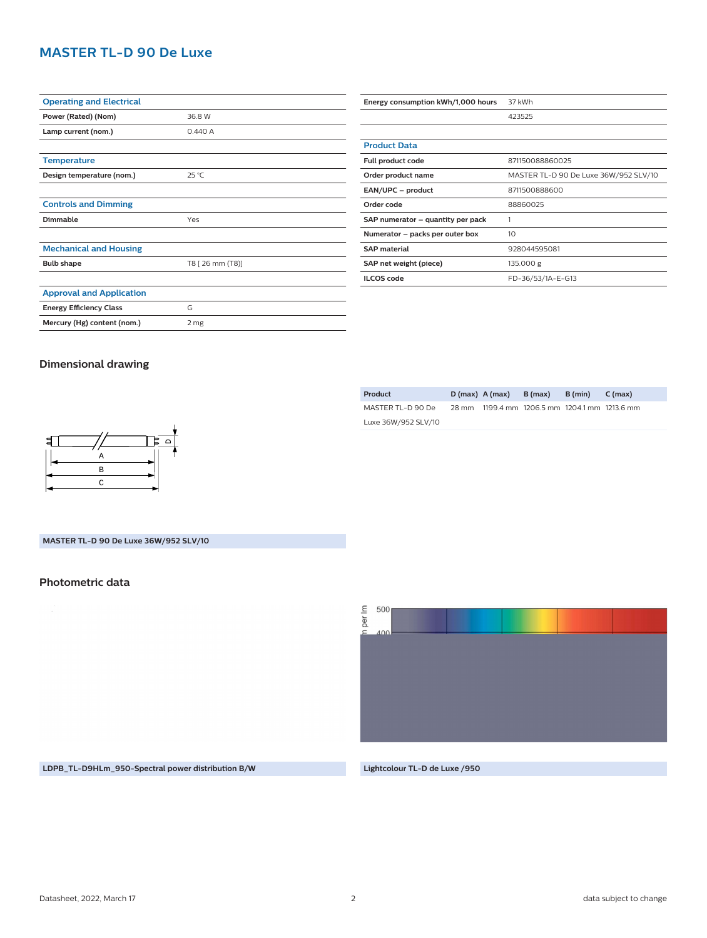#### **MASTER TL-D 90 De Luxe**

| <b>Operating and Electrical</b> |                  |  |
|---------------------------------|------------------|--|
| Power (Rated) (Nom)             | 36.8 W           |  |
| Lamp current (nom.)             | 0.440 A          |  |
|                                 |                  |  |
| <b>Temperature</b>              |                  |  |
| Design temperature (nom.)       | $25^{\circ}$ C   |  |
|                                 |                  |  |
| <b>Controls and Dimming</b>     |                  |  |
| <b>Dimmable</b>                 | Yes              |  |
|                                 |                  |  |
| <b>Mechanical and Housing</b>   |                  |  |
| <b>Bulb shape</b>               | T8 [ 26 mm (T8)] |  |
|                                 |                  |  |
| <b>Approval and Application</b> |                  |  |
| <b>Energy Efficiency Class</b>  | G                |  |
| Mercury (Hg) content (nom.)     | 2 mg             |  |
|                                 |                  |  |

| Energy consumption kWh/1,000 hours | 37 kWh                                |  |  |
|------------------------------------|---------------------------------------|--|--|
|                                    | 423525                                |  |  |
|                                    |                                       |  |  |
| <b>Product Data</b>                |                                       |  |  |
| Full product code                  | 871150088860025                       |  |  |
| Order product name                 | MASTER TL-D 90 De Luxe 36W/952 SLV/10 |  |  |
| EAN/UPC - product                  | 8711500888600                         |  |  |
| Order code                         | 88860025                              |  |  |
| SAP numerator - quantity per pack  | 1                                     |  |  |
| Numerator - packs per outer box    | 10 <sup>2</sup>                       |  |  |
| <b>SAP</b> material                | 928044595081                          |  |  |
| SAP net weight (piece)             | 135.000 g                             |  |  |
| <b>ILCOS</b> code                  | FD-36/53/1A-E-G13                     |  |  |

#### **Dimensional drawing**

| Product             |       | $D(max)$ A (max) | B (max)                                 | B (min) | C (max) |  |
|---------------------|-------|------------------|-----------------------------------------|---------|---------|--|
| MASTER TL-D 90 De   | 28 mm |                  | 1199.4 mm 1206.5 mm 1204.1 mm 1213.6 mm |         |         |  |
| Luxe 36W/952 SLV/10 |       |                  |                                         |         |         |  |



#### **MASTER TL-D 90 De Luxe 36W/952 SLV/10**

#### **Photometric data**

per Im 500  $\sqrt{10}$ 

**LDPB\_TL-D9HLm\_950-Spectral power distribution B/W Lightcolour TL-D de Luxe /950**